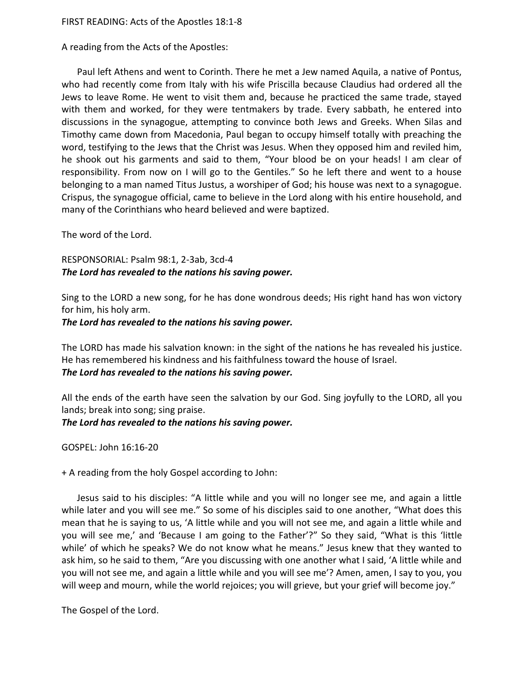### FIRST READING: Acts of the Apostles 18:1-8

### A reading from the Acts of the Apostles:

Paul left Athens and went to Corinth. There he met a Jew named Aquila, a native of Pontus, who had recently come from Italy with his wife Priscilla because Claudius had ordered all the Jews to leave Rome. He went to visit them and, because he practiced the same trade, stayed with them and worked, for they were tentmakers by trade. Every sabbath, he entered into discussions in the synagogue, attempting to convince both Jews and Greeks. When Silas and Timothy came down from Macedonia, Paul began to occupy himself totally with preaching the word, testifying to the Jews that the Christ was Jesus. When they opposed him and reviled him, he shook out his garments and said to them, "Your blood be on your heads! I am clear of responsibility. From now on I will go to the Gentiles." So he left there and went to a house belonging to a man named Titus Justus, a worshiper of God; his house was next to a synagogue. Crispus, the synagogue official, came to believe in the Lord along with his entire household, and many of the Corinthians who heard believed and were baptized.

The word of the Lord.

## RESPONSORIAL: Psalm 98:1, 2-3ab, 3cd-4 *The Lord has revealed to the nations his saving power.*

Sing to the LORD a new song, for he has done wondrous deeds; His right hand has won victory for him, his holy arm.

### *The Lord has revealed to the nations his saving power.*

The LORD has made his salvation known: in the sight of the nations he has revealed his justice. He has remembered his kindness and his faithfulness toward the house of Israel. *The Lord has revealed to the nations his saving power.*

All the ends of the earth have seen the salvation by our God. Sing joyfully to the LORD, all you lands; break into song; sing praise.

#### *The Lord has revealed to the nations his saving power.*

GOSPEL: John 16:16-20

+ A reading from the holy Gospel according to John:

Jesus said to his disciples: "A little while and you will no longer see me, and again a little while later and you will see me." So some of his disciples said to one another, "What does this mean that he is saying to us, 'A little while and you will not see me, and again a little while and you will see me,' and 'Because I am going to the Father'?" So they said, "What is this 'little while' of which he speaks? We do not know what he means." Jesus knew that they wanted to ask him, so he said to them, "Are you discussing with one another what I said, 'A little while and you will not see me, and again a little while and you will see me'? Amen, amen, I say to you, you will weep and mourn, while the world rejoices; you will grieve, but your grief will become joy."

The Gospel of the Lord.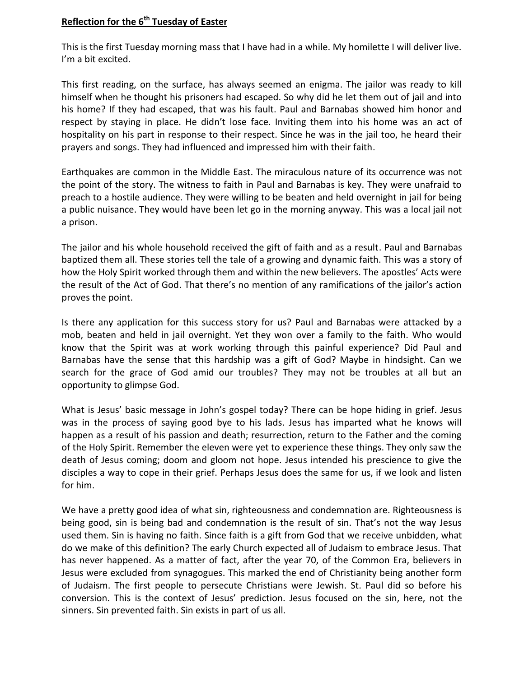# **Reflection for the 6th Tuesday of Easter**

This is the first Tuesday morning mass that I have had in a while. My homilette I will deliver live. I'm a bit excited.

This first reading, on the surface, has always seemed an enigma. The jailor was ready to kill himself when he thought his prisoners had escaped. So why did he let them out of jail and into his home? If they had escaped, that was his fault. Paul and Barnabas showed him honor and respect by staying in place. He didn't lose face. Inviting them into his home was an act of hospitality on his part in response to their respect. Since he was in the jail too, he heard their prayers and songs. They had influenced and impressed him with their faith.

Earthquakes are common in the Middle East. The miraculous nature of its occurrence was not the point of the story. The witness to faith in Paul and Barnabas is key. They were unafraid to preach to a hostile audience. They were willing to be beaten and held overnight in jail for being a public nuisance. They would have been let go in the morning anyway. This was a local jail not a prison.

The jailor and his whole household received the gift of faith and as a result. Paul and Barnabas baptized them all. These stories tell the tale of a growing and dynamic faith. This was a story of how the Holy Spirit worked through them and within the new believers. The apostles' Acts were the result of the Act of God. That there's no mention of any ramifications of the jailor's action proves the point.

Is there any application for this success story for us? Paul and Barnabas were attacked by a mob, beaten and held in jail overnight. Yet they won over a family to the faith. Who would know that the Spirit was at work working through this painful experience? Did Paul and Barnabas have the sense that this hardship was a gift of God? Maybe in hindsight. Can we search for the grace of God amid our troubles? They may not be troubles at all but an opportunity to glimpse God.

What is Jesus' basic message in John's gospel today? There can be hope hiding in grief. Jesus was in the process of saying good bye to his lads. Jesus has imparted what he knows will happen as a result of his passion and death; resurrection, return to the Father and the coming of the Holy Spirit. Remember the eleven were yet to experience these things. They only saw the death of Jesus coming; doom and gloom not hope. Jesus intended his prescience to give the disciples a way to cope in their grief. Perhaps Jesus does the same for us, if we look and listen for him.

We have a pretty good idea of what sin, righteousness and condemnation are. Righteousness is being good, sin is being bad and condemnation is the result of sin. That's not the way Jesus used them. Sin is having no faith. Since faith is a gift from God that we receive unbidden, what do we make of this definition? The early Church expected all of Judaism to embrace Jesus. That has never happened. As a matter of fact, after the year 70, of the Common Era, believers in Jesus were excluded from synagogues. This marked the end of Christianity being another form of Judaism. The first people to persecute Christians were Jewish. St. Paul did so before his conversion. This is the context of Jesus' prediction. Jesus focused on the sin, here, not the sinners. Sin prevented faith. Sin exists in part of us all.